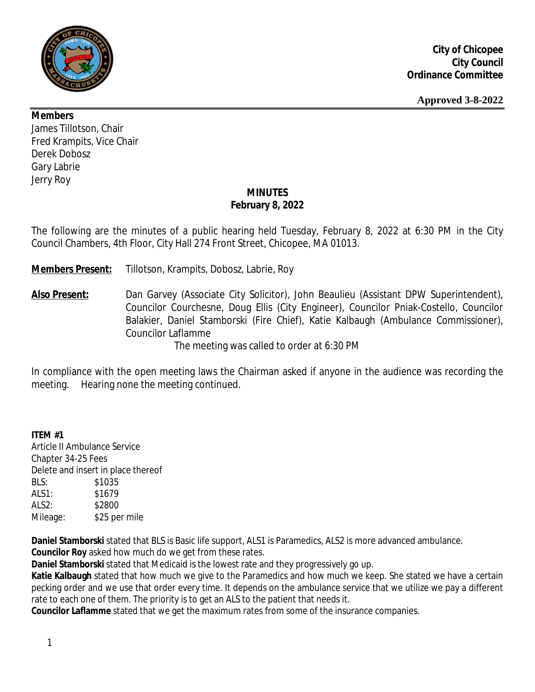

### **Members**

James Tillotson, Chair Fred Krampits, Vice Chair Derek Dobosz Gary Labrie Jerry Roy

# **MINUTES February 8, 2022**

The following are the minutes of a public hearing held Tuesday, February 8, 2022 at 6:30 PM in the City Council Chambers, 4th Floor, City Hall 274 Front Street, Chicopee, MA 01013.

**Members Present:** Tillotson, Krampits, Dobosz, Labrie, Roy

**Also Present:** Dan Garvey (Associate City Solicitor), John Beaulieu (Assistant DPW Superintendent), Councilor Courchesne, Doug Ellis (City Engineer), Councilor Pniak-Costello, Councilor Balakier, Daniel Stamborski (Fire Chief), Katie Kalbaugh (Ambulance Commissioner), Councilor Laflamme

The meeting was called to order at 6:30 PM

In compliance with the open meeting laws the Chairman asked if anyone in the audience was recording the meeting. Hearing none the meeting continued.

# **ITEM #1**

Article II Ambulance Service Chapter 34-25 Fees Delete and insert in place thereof BLS: \$1035 ALS1: \$1679 ALS2: \$2800 Mileage: \$25 per mile

**Daniel Stamborski** stated that BLS is Basic life support, ALS1 is Paramedics, ALS2 is more advanced ambulance.

**Councilor Roy** asked how much do we get from these rates.

**Daniel Stamborski** stated that Medicaid is the lowest rate and they progressively go up.

**Katie Kalbaugh** stated that how much we give to the Paramedics and how much we keep. She stated we have a certain pecking order and we use that order every time. It depends on the ambulance service that we utilize we pay a different rate to each one of them. The priority is to get an ALS to the patient that needs it.

**Councilor Laflamme** stated that we get the maximum rates from some of the insurance companies.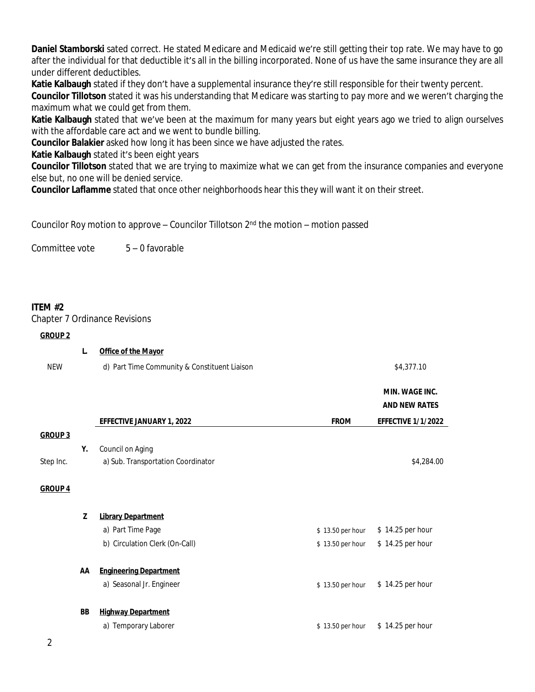**Daniel Stamborski** sated correct. He stated Medicare and Medicaid we're still getting their top rate. We may have to go after the individual for that deductible it's all in the billing incorporated. None of us have the same insurance they are all under different deductibles.

**Katie Kalbaugh** stated if they don't have a supplemental insurance they're still responsible for their twenty percent. **Councilor Tillotson** stated it was his understanding that Medicare was starting to pay more and we weren't charging the maximum what we could get from them.

**Katie Kalbaugh** stated that we've been at the maximum for many years but eight years ago we tried to align ourselves with the affordable care act and we went to bundle billing.

**Councilor Balakier** asked how long it has been since we have adjusted the rates.

**Katie Kalbaugh** stated it's been eight years

**Councilor Tillotson** stated that we are trying to maximize what we can get from the insurance companies and everyone else but, no one will be denied service.

**Councilor Laflamme** stated that once other neighborhoods hear this they will want it on their street.

Councilor Roy motion to approve – Councilor Tillotson 2nd the motion – motion passed

Committee vote 5 – 0 favorable

### **ITEM #2**

Chapter 7 Ordinance Revisions

#### **GROUP 2**

|                | L. | Office of the Mayor                          |                  |                           |
|----------------|----|----------------------------------------------|------------------|---------------------------|
| <b>NEW</b>     |    | d) Part Time Community & Constituent Liaison |                  | \$4,377.10                |
|                |    |                                              |                  | <b>MIN. WAGE INC.</b>     |
|                |    |                                              |                  | <b>AND NEW RATES</b>      |
|                |    | <b>EFFECTIVE JANUARY 1, 2022</b>             | <b>FROM</b>      | <b>EFFECTIVE 1/1/2022</b> |
| <b>GROUP 3</b> |    |                                              |                  |                           |
|                | Υ. | Council on Aging                             |                  |                           |
| Step Inc.      |    | a) Sub. Transportation Coordinator           |                  | \$4,284.00                |
| <b>GROUP 4</b> |    |                                              |                  |                           |
|                | Z  | <b>Library Department</b>                    |                  |                           |
|                |    | a) Part Time Page                            | \$13.50 per hour | \$14.25 per hour          |
|                |    | b) Circulation Clerk (On-Call)               | \$13.50 per hour | \$14.25 per hour          |
|                | AA | <b>Engineering Department</b>                |                  |                           |
|                |    | a) Seasonal Jr. Engineer                     | \$13.50 per hour | \$14.25 per hour          |
|                | BB | <b>Highway Department</b>                    |                  |                           |
|                |    | a) Temporary Laborer                         | \$13.50 per hour | \$14.25 per hour          |
| 2              |    |                                              |                  |                           |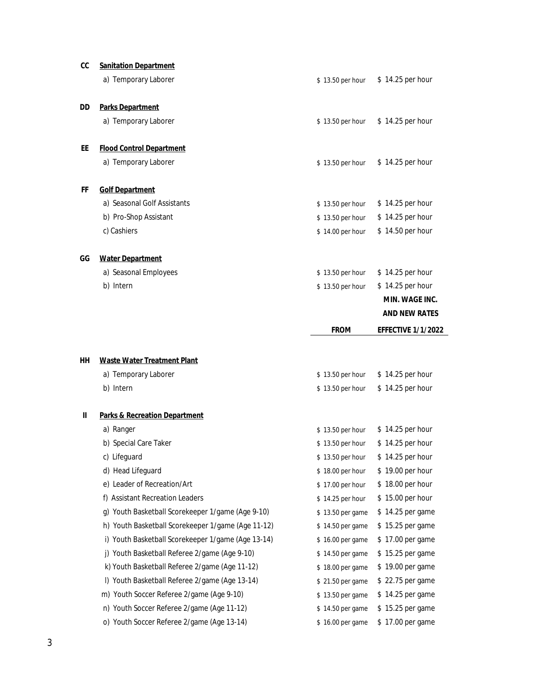| cc | <b>Sanitation Department</b>                       |                  |                           |
|----|----------------------------------------------------|------------------|---------------------------|
|    | a) Temporary Laborer                               | \$13.50 per hour | \$14.25 per hour          |
| DD | <b>Parks Department</b>                            |                  |                           |
|    | a) Temporary Laborer                               | \$13.50 per hour | \$14.25 per hour          |
| EE | <b>Flood Control Department</b>                    |                  |                           |
|    | a) Temporary Laborer                               | \$13.50 per hour | \$14.25 per hour          |
| FF | <b>Golf Department</b>                             |                  |                           |
|    | a) Seasonal Golf Assistants                        | \$13.50 per hour | \$14.25 per hour          |
|    | b) Pro-Shop Assistant                              | \$13.50 per hour | \$14.25 per hour          |
|    | c) Cashiers                                        | \$14.00 per hour | \$14.50 per hour          |
| GG | <b>Water Department</b>                            |                  |                           |
|    | a) Seasonal Employees                              | \$13.50 per hour | \$14.25 per hour          |
|    | b) Intern                                          | \$13.50 per hour | \$14.25 per hour          |
|    |                                                    |                  | MIN. WAGE INC.            |
|    |                                                    |                  | <b>AND NEW RATES</b>      |
|    |                                                    | <b>FROM</b>      | <b>EFFECTIVE 1/1/2022</b> |
| HН | <b>Waste Water Treatment Plant</b>                 |                  |                           |
|    | a) Temporary Laborer                               | \$13.50 per hour | \$14.25 per hour          |
|    | b) Intern                                          | \$13.50 per hour | \$14.25 per hour          |
| Ш  | <b>Parks &amp; Recreation Department</b>           |                  |                           |
|    | a) Ranger                                          | \$13.50 per hour | \$14.25 per hour          |
|    | b) Special Care Taker                              | \$13.50 per hour | \$14.25 per hour          |
|    | c) Lifeguard                                       | \$13.50 per hour | \$14.25 per hour          |
|    | d) Head Lifeguard                                  | \$18.00 per hour | \$19.00 per hour          |
|    | e) Leader of Recreation/Art                        | \$17.00 per hour | \$18.00 per hour          |
|    | f) Assistant Recreation Leaders                    | \$14.25 per hour | \$15.00 per hour          |
|    | g) Youth Basketball Scorekeeper 1/game (Age 9-10)  | \$13.50 per game | \$14.25 per game          |
|    | h) Youth Basketball Scorekeeper 1/game (Age 11-12) | \$14.50 per game | \$15.25 per game          |
|    | i) Youth Basketball Scorekeeper 1/game (Age 13-14) | \$16.00 per game | \$17.00 per game          |
|    | j) Youth Basketball Referee 2/game (Age 9-10)      | \$14.50 per game | \$15.25 per game          |
|    | k) Youth Basketball Referee 2/game (Age 11-12)     | \$18.00 per game | \$19.00 per game          |
|    | I) Youth Basketball Referee 2/game (Age 13-14)     | \$21.50 per game | \$22.75 per game          |
|    | m) Youth Soccer Referee 2/game (Age 9-10)          | \$13.50 per game | \$14.25 per game          |
|    |                                                    |                  |                           |
|    | n) Youth Soccer Referee 2/game (Age 11-12)         | \$14.50 per game | \$15.25 per game          |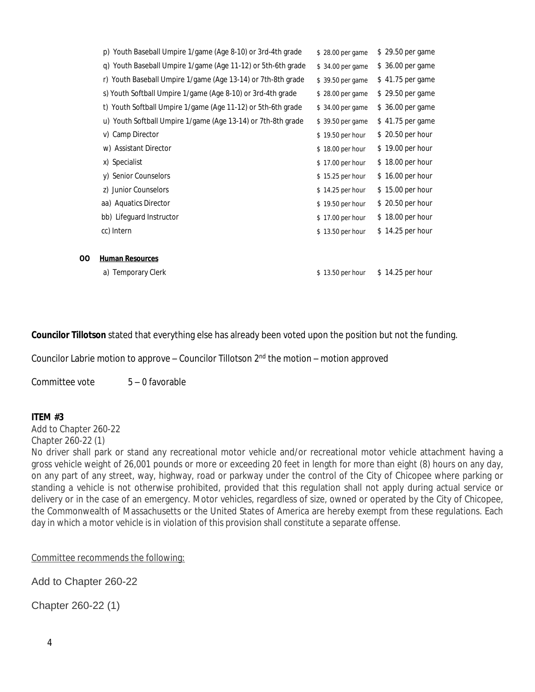|    | p) Youth Baseball Umpire 1/game (Age 8-10) or 3rd-4th grade  | \$28.00 per game | \$29.50 per game  |
|----|--------------------------------------------------------------|------------------|-------------------|
|    | q) Youth Baseball Umpire 1/game (Age 11-12) or 5th-6th grade | \$34.00 per game | \$ 36.00 per game |
|    | r) Youth Baseball Umpire 1/game (Age 13-14) or 7th-8th grade | \$39.50 per game | \$41.75 per game  |
|    | s) Youth Softball Umpire 1/game (Age 8-10) or 3rd-4th grade  | \$28.00 per game | \$29.50 per game  |
|    | t) Youth Softball Umpire 1/game (Age 11-12) or 5th-6th grade | \$34.00 per game | \$ 36.00 per game |
|    | u) Youth Softball Umpire 1/game (Age 13-14) or 7th-8th grade | \$39.50 per game | \$41.75 per game  |
|    | v) Camp Director                                             | \$19.50 per hour | \$20.50 per hour  |
|    | w) Assistant Director                                        | \$18.00 per hour | \$19.00 per hour  |
|    | x) Specialist                                                | \$17.00 per hour | \$18.00 per hour  |
|    | y) Senior Counselors                                         | \$15.25 per hour | \$16.00 per hour  |
|    | z) Junior Counselors                                         | \$14.25 per hour | \$15.00 per hour  |
|    | aa) Aquatics Director                                        | \$19.50 per hour | \$20.50 per hour  |
|    | bb) Lifeguard Instructor                                     | \$17.00 per hour | \$18.00 per hour  |
|    | cc) Intern                                                   | \$13.50 per hour | \$14.25 per hour  |
|    |                                                              |                  |                   |
| 00 | <b>Human Resources</b>                                       |                  |                   |
|    | <b>Temporary Clerk</b><br>a)                                 | \$13.50 per hour | \$14.25 per hour  |
|    |                                                              |                  |                   |

**Councilor Tillotson** stated that everything else has already been voted upon the position but not the funding.

Councilor Labrie motion to approve – Councilor Tillotson  $2^{nd}$  the motion – motion approved

Committee vote 5 – 0 favorable

#### **ITEM #3**

Add to Chapter 260-22 Chapter 260-22 (1)

No driver shall park or stand any recreational motor vehicle and/or recreational motor vehicle attachment having a gross vehicle weight of 26,001 pounds or more or exceeding 20 feet in length for more than eight (8) hours on any day, on any part of any street, way, highway, road or parkway under the control of the City of Chicopee where parking or standing a vehicle is not otherwise prohibited, provided that this regulation shall not apply during actual service or delivery or in the case of an emergency. Motor vehicles, regardless of size, owned or operated by the City of Chicopee, the Commonwealth of Massachusetts or the United States of America are hereby exempt from these regulations. Each day in which a motor vehicle is in violation of this provision shall constitute a separate offense.

Committee recommends the following:

Add to Chapter 260-22

Chapter 260-22 (1)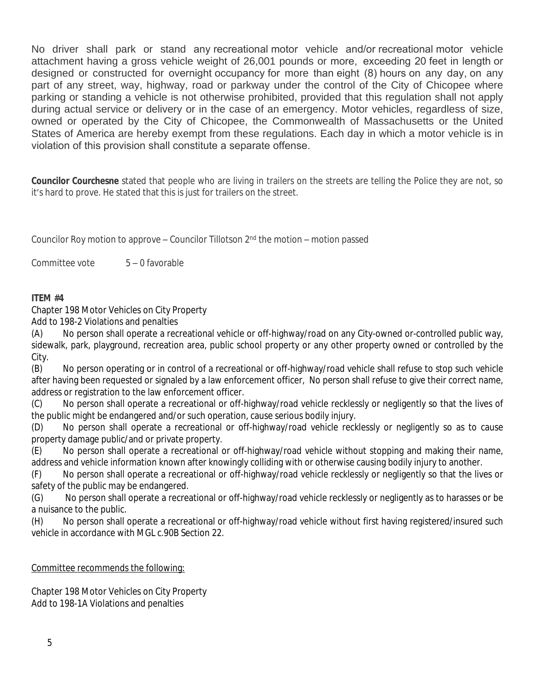No driver shall park or stand any recreational motor vehicle and/or recreational motor vehicle attachment having a gross vehicle weight of 26,001 pounds or more, exceeding 20 feet in length or designed or constructed for overnight occupancy for more than eight (8) hours on any day, on any part of any street, way, highway, road or parkway under the control of the City of Chicopee where parking or standing a vehicle is not otherwise prohibited, provided that this regulation shall not apply during actual service or delivery or in the case of an emergency. Motor vehicles, regardless of size, owned or operated by the City of Chicopee, the Commonwealth of Massachusetts or the United States of America are hereby exempt from these regulations. Each day in which a motor vehicle is in violation of this provision shall constitute a separate offense.

**Councilor Courchesne** stated that people who are living in trailers on the streets are telling the Police they are not, so it's hard to prove. He stated that this is just for trailers on the street.

Councilor Roy motion to approve – Councilor Tillotson  $2<sup>nd</sup>$  the motion – motion passed

Committee vote 5 – 0 favorable

### **ITEM #4**

Chapter 198 Motor Vehicles on City Property

Add to 198-2 Violations and penalties

(A) No person shall operate a recreational vehicle or off-highway/road on any City-owned or-controlled public way, sidewalk, park, playground, recreation area, public school property or any other property owned or controlled by the City.

(B) No person operating or in control of a recreational or off-highway/road vehicle shall refuse to stop such vehicle after having been requested or signaled by a law enforcement officer, No person shall refuse to give their correct name, address or registration to the law enforcement officer.

(C) No person shall operate a recreational or off-highway/road vehicle recklessly or negligently so that the lives of the public might be endangered and/or such operation, cause serious bodily injury.

(D) No person shall operate a recreational or off-highway/road vehicle recklessly or negligently so as to cause property damage public/and or private property.

(E) No person shall operate a recreational or off-highway/road vehicle without stopping and making their name, address and vehicle information known after knowingly colliding with or otherwise causing bodily injury to another.

(F) No person shall operate a recreational or off-highway/road vehicle recklessly or negligently so that the lives or safety of the public may be endangered.

(G) No person shall operate a recreational or off-highway/road vehicle recklessly or negligently as to harasses or be a nuisance to the public.

(H) No person shall operate a recreational or off-highway/road vehicle without first having registered/insured such vehicle in accordance with MGL c.90B Section 22.

Committee recommends the following:

Chapter 198 Motor Vehicles on City Property Add to 198-1A Violations and penalties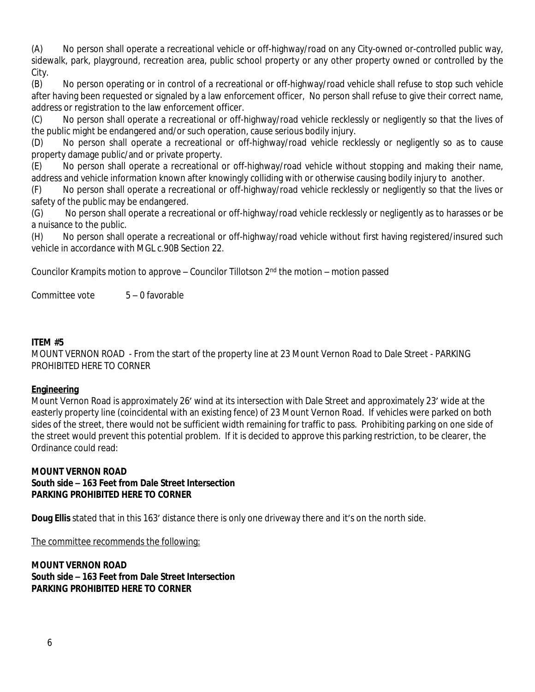(A) No person shall operate a recreational vehicle or off-highway/road on any City-owned or-controlled public way, sidewalk, park, playground, recreation area, public school property or any other property owned or controlled by the City.

(B) No person operating or in control of a recreational or off-highway/road vehicle shall refuse to stop such vehicle after having been requested or signaled by a law enforcement officer, No person shall refuse to give their correct name, address or registration to the law enforcement officer.

(C) No person shall operate a recreational or off-highway/road vehicle recklessly or negligently so that the lives of the public might be endangered and/or such operation, cause serious bodily injury.

(D) No person shall operate a recreational or off-highway/road vehicle recklessly or negligently so as to cause property damage public/and or private property.

(E) No person shall operate a recreational or off-highway/road vehicle without stopping and making their name, address and vehicle information known after knowingly colliding with or otherwise causing bodily injury to another.

(F) No person shall operate a recreational or off-highway/road vehicle recklessly or negligently so that the lives or safety of the public may be endangered.

(G) No person shall operate a recreational or off-highway/road vehicle recklessly or negligently as to harasses or be a nuisance to the public.

(H) No person shall operate a recreational or off-highway/road vehicle without first having registered/insured such vehicle in accordance with MGL c.90B Section 22.

Councilor Krampits motion to approve – Councilor Tillotson  $2<sup>nd</sup>$  the motion – motion passed

Committee vote 5 – 0 favorable

# **ITEM #5**

MOUNT VERNON ROAD - From the start of the property line at 23 Mount Vernon Road to Dale Street - PARKING PROHIBITED HERE TO CORNER

#### **Engineering**

Mount Vernon Road is approximately 26' wind at its intersection with Dale Street and approximately 23' wide at the easterly property line (coincidental with an existing fence) of 23 Mount Vernon Road. If vehicles were parked on both sides of the street, there would not be sufficient width remaining for traffic to pass. Prohibiting parking on one side of the street would prevent this potential problem. If it is decided to approve this parking restriction, to be clearer, the Ordinance could read:

### **MOUNT VERNON ROAD South side – 163 Feet from Dale Street Intersection PARKING PROHIBITED HERE TO CORNER**

**Doug Ellis** stated that in this 163' distance there is only one driveway there and it's on the north side.

The committee recommends the following:

**MOUNT VERNON ROAD South side – 163 Feet from Dale Street Intersection PARKING PROHIBITED HERE TO CORNER**